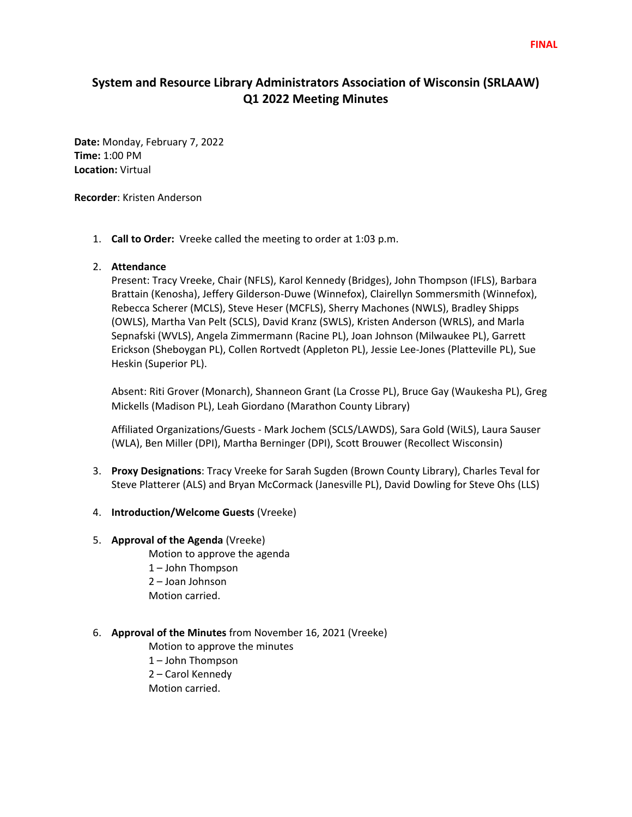# **System and Resource Library Administrators Association of Wisconsin (SRLAAW) Q1 2022 Meeting Minutes**

**Date:** Monday, February 7, 2022 **Time:** 1:00 PM **Location:** Virtual

**Recorder**: Kristen Anderson

1. **Call to Order:** Vreeke called the meeting to order at 1:03 p.m.

## 2. **Attendance**

Present: Tracy Vreeke, Chair (NFLS), Karol Kennedy (Bridges), John Thompson (IFLS), Barbara Brattain (Kenosha), Jeffery Gilderson-Duwe (Winnefox), Clairellyn Sommersmith (Winnefox), Rebecca Scherer (MCLS), Steve Heser (MCFLS), Sherry Machones (NWLS), Bradley Shipps (OWLS), Martha Van Pelt (SCLS), David Kranz (SWLS), Kristen Anderson (WRLS), and Marla Sepnafski (WVLS), Angela Zimmermann (Racine PL), Joan Johnson (Milwaukee PL), Garrett Erickson (Sheboygan PL), Collen Rortvedt (Appleton PL), Jessie Lee-Jones (Platteville PL), Sue Heskin (Superior PL).

Absent: Riti Grover (Monarch), Shanneon Grant (La Crosse PL), Bruce Gay (Waukesha PL), Greg Mickells (Madison PL), Leah Giordano (Marathon County Library)

Affiliated Organizations/Guests - Mark Jochem (SCLS/LAWDS), Sara Gold (WiLS), Laura Sauser (WLA), Ben Miller (DPI), Martha Berninger (DPI), Scott Brouwer (Recollect Wisconsin)

- 3. **Proxy Designations**: Tracy Vreeke for Sarah Sugden (Brown County Library), Charles Teval for Steve Platterer (ALS) and Bryan McCormack (Janesville PL), David Dowling for Steve Ohs (LLS)
- 4. **Introduction/Welcome Guests** (Vreeke)

#### 5. **Approval of the Agenda** (Vreeke)

Motion to approve the agenda 1 – John Thompson 2 – Joan Johnson Motion carried.

#### 6. **Approval of the Minutes** from November 16, 2021 (Vreeke)

Motion to approve the minutes 1 – John Thompson 2 – Carol Kennedy Motion carried.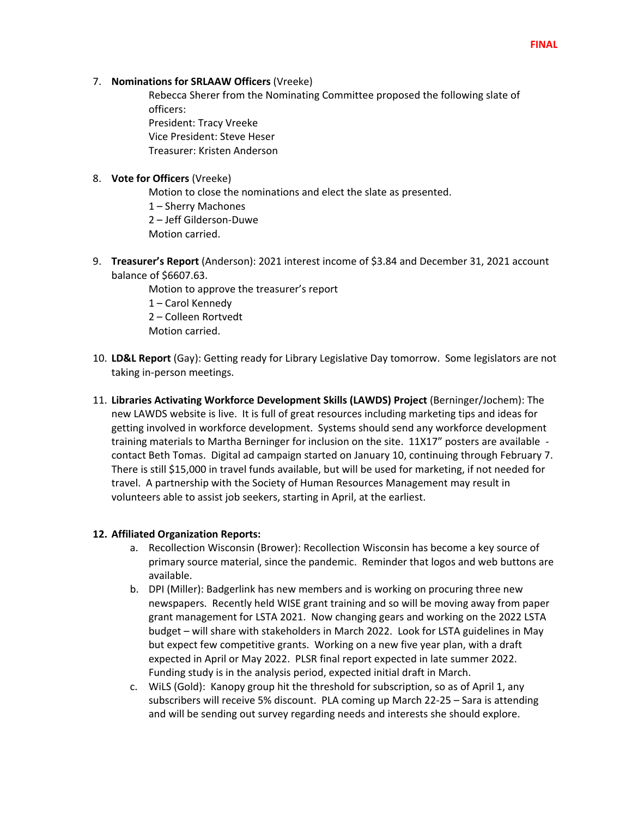7. **Nominations for SRLAAW Officers** (Vreeke)

Rebecca Sherer from the Nominating Committee proposed the following slate of officers:

President: Tracy Vreeke Vice President: Steve Heser Treasurer: Kristen Anderson

## 8. **Vote for Officers** (Vreeke)

Motion to close the nominations and elect the slate as presented. 1 – Sherry Machones 2 – Jeff Gilderson-Duwe Motion carried.

9. **Treasurer's Report** (Anderson): 2021 interest income of \$3.84 and December 31, 2021 account balance of \$6607.63.

> Motion to approve the treasurer's report 1 – Carol Kennedy 2 – Colleen Rortvedt Motion carried.

- 10. **LD&L Report** (Gay): Getting ready for Library Legislative Day tomorrow. Some legislators are not taking in-person meetings.
- 11. **Libraries Activating Workforce Development Skills (LAWDS) Project** (Berninger/Jochem): The new LAWDS website is live. It is full of great resources including marketing tips and ideas for getting involved in workforce development. Systems should send any workforce development training materials to Martha Berninger for inclusion on the site. 11X17" posters are available contact Beth Tomas. Digital ad campaign started on January 10, continuing through February 7. There is still \$15,000 in travel funds available, but will be used for marketing, if not needed for travel. A partnership with the Society of Human Resources Management may result in volunteers able to assist job seekers, starting in April, at the earliest.

# **12. Affiliated Organization Reports:**

- a. Recollection Wisconsin (Brower): Recollection Wisconsin has become a key source of primary source material, since the pandemic. Reminder that logos and web buttons are available.
- b. DPI (Miller): Badgerlink has new members and is working on procuring three new newspapers. Recently held WISE grant training and so will be moving away from paper grant management for LSTA 2021. Now changing gears and working on the 2022 LSTA budget – will share with stakeholders in March 2022. Look for LSTA guidelines in May but expect few competitive grants. Working on a new five year plan, with a draft expected in April or May 2022. PLSR final report expected in late summer 2022. Funding study is in the analysis period, expected initial draft in March.
- c. WiLS (Gold): Kanopy group hit the threshold for subscription, so as of April 1, any subscribers will receive 5% discount. PLA coming up March 22-25 – Sara is attending and will be sending out survey regarding needs and interests she should explore.